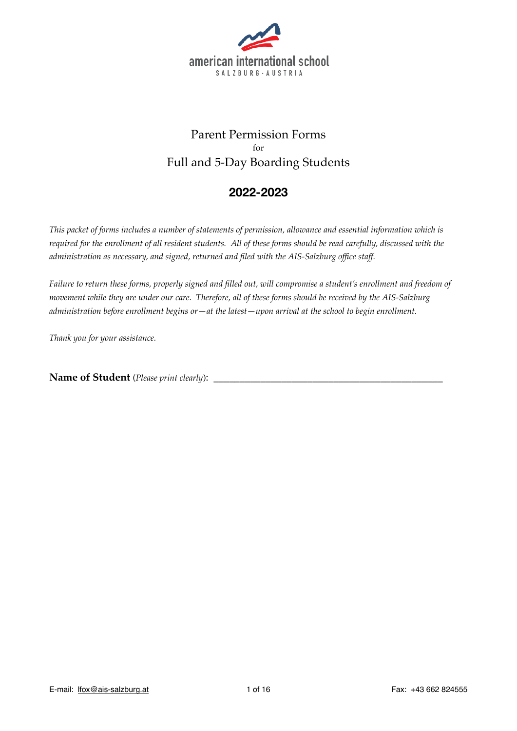

# Parent Permission Forms for Full and 5-Day Boarding Students

## **2022-2023**

*This packet of forms includes a number of statements of permission, allowance and essential information which is required for the enrollment of all resident students. All of these forms should be read carefully, discussed with the administration as necessary, and signed, returned and filed with the AIS-Salzburg office staff.*

*Failure to return these forms, properly signed and filled out, will compromise a student's enrollment and freedom of movement while they are under our care. Therefore, all of these forms should be received by the AIS-Salzburg administration before enrollment begins or—at the latest—upon arrival at the school to begin enrollment.*

*Thank you for your assistance.*

**Name of Student** (*Please print clearly*):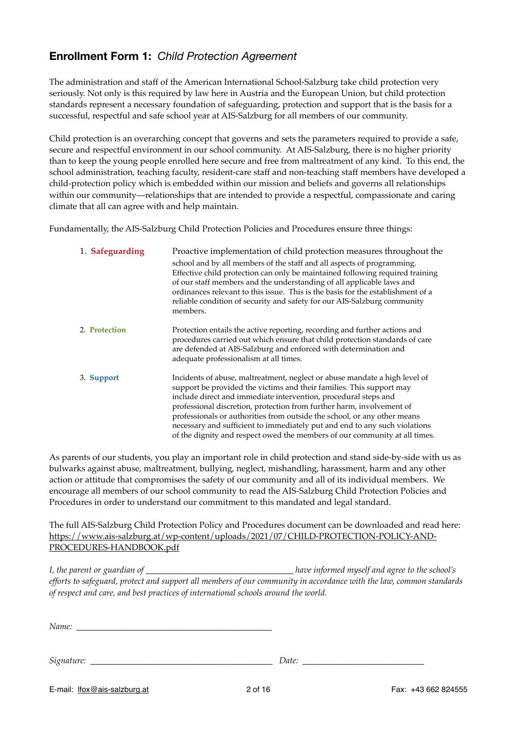# **Enrollment Form 1:** *Child Protection Agreement*

The administration and staff of the American International School-Salzburg take child protection very seriously. Not only is this required by law here in Austria and the European Union, but child protection standards represent a necessary foundation of safeguarding, protection and support that is the basis for a successful, respectful and safe school year at AIS-Salzburg for all members of our community.

Child protection is an overarching concept that governs and sets the parameters required to provide a safe, secure and respectful environment in our school community. At AIS-Salzburg, there is no higher priority than to keep the young people enrolled here secure and free from maltreatment of any kind. To this end, the school administration, teaching faculty, resident-care staff and non-teaching staff members have developed a child-protection policy which is embedded within our mission and beliefs and governs all relationships within our community—relationships that are intended to provide a respectful, compassionate and caring climate that all can agree with and help maintain.

Fundamentally, the AIS-Salzburg Child Protection Policies and Procedures ensure three things:

| 1. Safeguarding | Proactive implementation of child protection measures throughout the<br>school and by all members of the staff and all aspects of programming.<br>Effective child protection can only be maintained following required training<br>of our staff members and the understanding of all applicable laws and<br>ordinances relevant to this issue. This is the basis for the establishment of a<br>reliable condition of security and safety for our AIS-Salzburg community<br>members.                                                    |
|-----------------|----------------------------------------------------------------------------------------------------------------------------------------------------------------------------------------------------------------------------------------------------------------------------------------------------------------------------------------------------------------------------------------------------------------------------------------------------------------------------------------------------------------------------------------|
| 2. Protection   | Protection entails the active reporting, recording and further actions and<br>procedures carried out which ensure that child protection standards of care<br>are defended at AIS-Salzburg and enforced with determination and<br>adequate professionalism at all times.                                                                                                                                                                                                                                                                |
| 3. Support      | Incidents of abuse, maltreatment, neglect or abuse mandate a high level of<br>support be provided the victims and their families. This support may<br>include direct and immediate intervention, procedural steps and<br>professional discretion, protection from further harm, involvement of<br>professionals or authorities from outside the school, or any other means<br>necessary and sufficient to immediately put and end to any such violations<br>of the dignity and respect owed the members of our community at all times. |

As parents of our students, you play an important role in child protection and stand side-by-side with us as bulwarks against abuse, maltreatment, bullying, neglect, mishandling, harassment, harm and any other action or attitude that compromises the safety of our community and all of its individual members. We encourage all members of our school community to read the AIS-Salzburg Child Protection Policies and Procedures in order to understand our commitment to this mandated and legal standard.

The full AIS-Salzburg Child Protection Policy and Procedures document can be downloaded and read here: [https://www.ais-salzburg.at/wp-content/uploads/2021/07/CHILD-PROTECTION-POLICY-AND-](https://www.ais-salzburg.at/wp-content/uploads/2021/07/CHILD-PROTECTION-POLICY-AND-PROCEDURES-HANDBOOK.pdf)[PROCEDURES-HANDBOOK.pdf](https://www.ais-salzburg.at/wp-content/uploads/2021/07/CHILD-PROTECTION-POLICY-AND-PROCEDURES-HANDBOOK.pdf)

*I, the parent or guardian of \_\_\_\_\_\_\_\_\_\_\_\_\_\_\_\_\_\_\_\_\_\_\_\_\_\_\_\_\_\_\_\_\_\_ have informed myself and agree to the school's efforts to safeguard, protect and support all members of our community in accordance with the law, common standards of respect and care, and best practices of international schools around the world.*

*Name: \_\_\_\_\_\_\_\_\_\_\_\_\_\_\_\_\_\_\_\_\_\_\_\_\_\_\_\_\_\_\_\_\_\_\_\_\_\_\_\_\_\_\_\_\_*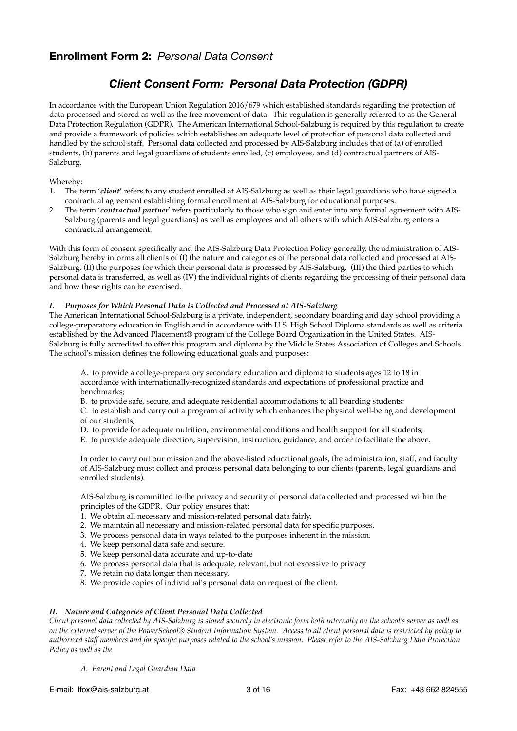## **Enrollment Form 2:** *Personal Data Consent*

## *Client Consent Form: Personal Data Protection (GDPR)*

In accordance with the European Union Regulation 2016/679 which established standards regarding the protection of data processed and stored as well as the free movement of data. This regulation is generally referred to as the General Data Protection Regulation (GDPR). The American International School-Salzburg is required by this regulation to create and provide a framework of policies which establishes an adequate level of protection of personal data collected and handled by the school staff. Personal data collected and processed by AIS-Salzburg includes that of (a) of enrolled students, (b) parents and legal guardians of students enrolled, (c) employees, and (d) contractual partners of AIS-Salzburg.

#### Whereby:

- 1. The term '*client*' refers to any student enrolled at AIS-Salzburg as well as their legal guardians who have signed a contractual agreement establishing formal enrollment at AIS-Salzburg for educational purposes.
- 2. The term '*contractual partner*' refers particularly to those who sign and enter into any formal agreement with AIS-Salzburg (parents and legal guardians) as well as employees and all others with which AIS-Salzburg enters a contractual arrangement.

With this form of consent specifically and the AIS-Salzburg Data Protection Policy generally, the administration of AIS-Salzburg hereby informs all clients of (I) the nature and categories of the personal data collected and processed at AIS-Salzburg, (II) the purposes for which their personal data is processed by AIS-Salzburg, (III) the third parties to which personal data is transferred, as well as (IV) the individual rights of clients regarding the processing of their personal data and how these rights can be exercised.

#### *I. Purposes for Which Personal Data is Collected and Processed at AIS-Salzburg*

The American International School-Salzburg is a private, independent, secondary boarding and day school providing a college-preparatory education in English and in accordance with U.S. High School Diploma standards as well as criteria established by the Advanced Placement® program of the College Board Organization in the United States. AIS-Salzburg is fully accredited to offer this program and diploma by the Middle States Association of Colleges and Schools. The school's mission defines the following educational goals and purposes:

A. to provide a college-preparatory secondary education and diploma to students ages 12 to 18 in accordance with internationally-recognized standards and expectations of professional practice and benchmarks;

B. to provide safe, secure, and adequate residential accommodations to all boarding students;

C. to establish and carry out a program of activity which enhances the physical well-being and development of our students;

- D. to provide for adequate nutrition, environmental conditions and health support for all students;
- E. to provide adequate direction, supervision, instruction, guidance, and order to facilitate the above.

In order to carry out our mission and the above-listed educational goals, the administration, staff, and faculty of AIS-Salzburg must collect and process personal data belonging to our clients (parents, legal guardians and enrolled students).

AIS-Salzburg is committed to the privacy and security of personal data collected and processed within the principles of the GDPR. Our policy ensures that:

- 1. We obtain all necessary and mission-related personal data fairly.
- 2. We maintain all necessary and mission-related personal data for specific purposes.
- 3. We process personal data in ways related to the purposes inherent in the mission.
- 4. We keep personal data safe and secure.
- 5. We keep personal data accurate and up-to-date
- 6. We process personal data that is adequate, relevant, but not excessive to privacy
- 7. We retain no data longer than necessary.
- 8. We provide copies of individual's personal data on request of the client.

#### *II. Nature and Categories of Client Personal Data Collected*

*Client personal data collected by AIS-Salzburg is stored securely in electronic form both internally on the school's server as well as on the external server of the PowerSchool® Student Information System. Access to all client personal data is restricted by policy to authorized staff members and for specific purposes related to the school's mission. Please refer to the AIS-Salzburg Data Protection Policy as well as the* 

*A. Parent and Legal Guardian Data*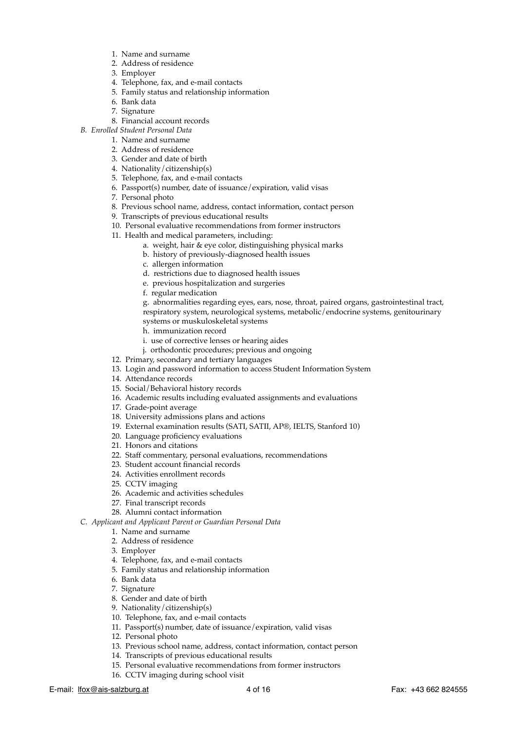- 1. Name and surname
- 2. Address of residence
- 3. Employer
- 4. Telephone, fax, and e-mail contacts
- 5. Family status and relationship information
- 6. Bank data
- 7. Signature
- 8. Financial account records
- *B. Enrolled Student Personal Data*
	- 1. Name and surname
	- 2. Address of residence
	- 3. Gender and date of birth
	- 4. Nationality/citizenship(s)
	- 5. Telephone, fax, and e-mail contacts
	- 6. Passport(s) number, date of issuance/expiration, valid visas
	- 7. Personal photo
	- 8. Previous school name, address, contact information, contact person
	- 9. Transcripts of previous educational results
	- 10. Personal evaluative recommendations from former instructors
	- 11. Health and medical parameters, including:
		- a. weight, hair & eye color, distinguishing physical marks
		- b. history of previously-diagnosed health issues
		- c. allergen information
		- d. restrictions due to diagnosed health issues
		- e. previous hospitalization and surgeries
		- f. regular medication

g. abnormalities regarding eyes, ears, nose, throat, paired organs, gastrointestinal tract, respiratory system, neurological systems, metabolic/endocrine systems, genitourinary

- systems or muskuloskeletal systems
- h. immunization record
- i. use of corrective lenses or hearing aides
- j. orthodontic procedures; previous and ongoing
- 12. Primary, secondary and tertiary languages
- 13. Login and password information to access Student Information System
- 14. Attendance records
- 15. Social/Behavioral history records
- 16. Academic results including evaluated assignments and evaluations
- 17. Grade-point average
- 18. University admissions plans and actions
- 19. External examination results (SATI, SATII, AP®, IELTS, Stanford 10)
- 20. Language proficiency evaluations
- 21. Honors and citations
- 22. Staff commentary, personal evaluations, recommendations
- 23. Student account financial records
- 24. Activities enrollment records
- 25. CCTV imaging
- 26. Academic and activities schedules
- 27. Final transcript records
- 28. Alumni contact information

*C. Applicant and Applicant Parent or Guardian Personal Data*

- 1. Name and surname
- 2. Address of residence
- 3. Employer
- 4. Telephone, fax, and e-mail contacts
- 5. Family status and relationship information
- 6. Bank data
- 7. Signature
- 8. Gender and date of birth
- 9. Nationality/citizenship(s)
- 10. Telephone, fax, and e-mail contacts
- 11. Passport(s) number, date of issuance/expiration, valid visas
- 12. Personal photo
- 13. Previous school name, address, contact information, contact person
- 14. Transcripts of previous educational results
- 15. Personal evaluative recommendations from former instructors
- 16. CCTV imaging during school visit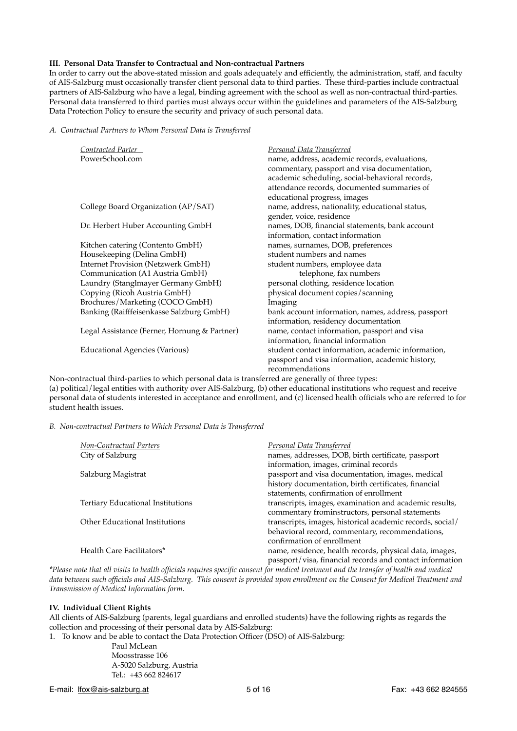#### **III. Personal Data Transfer to Contractual and Non-contractual Partners**

In order to carry out the above-stated mission and goals adequately and efficiently, the administration, staff, and faculty of AIS-Salzburg must occasionally transfer client personal data to third parties. These third-parties include contractual partners of AIS-Salzburg who have a legal, binding agreement with the school as well as non-contractual third-parties. Personal data transferred to third parties must always occur within the guidelines and parameters of the AIS-Salzburg Data Protection Policy to ensure the security and privacy of such personal data.

*A. Contractual Partners to Whom Personal Data is Transferred*

| Contracted Parter                            | <b>Personal Data Transferred</b>                   |
|----------------------------------------------|----------------------------------------------------|
| PowerSchool.com                              | name, address, academic records, evaluations,      |
|                                              | commentary, passport and visa documentation,       |
|                                              | academic scheduling, social-behavioral records,    |
|                                              | attendance records, documented summaries of        |
|                                              | educational progress, images                       |
| College Board Organization (AP/SAT)          | name, address, nationality, educational status,    |
|                                              | gender, voice, residence                           |
| Dr. Herbert Huber Accounting GmbH            | names, DOB, financial statements, bank account     |
|                                              | information, contact information                   |
| Kitchen catering (Contento GmbH)             | names, surnames, DOB, preferences                  |
| Housekeeping (Delina GmbH)                   | student numbers and names                          |
| <b>Internet Provision (Netzwerk GmbH)</b>    | student numbers, employee data                     |
| Communication (A1 Austria GmbH)              | telephone, fax numbers                             |
| Laundry (Stanglmayer Germany GmbH)           | personal clothing, residence location              |
| Copying (Ricoh Austria GmbH)                 | physical document copies/scanning                  |
| Brochures/Marketing (COCO GmbH)              | Imaging                                            |
| Banking (Raifffeisenkasse Salzburg GmbH)     | bank account information, names, address, passport |
|                                              | information, residency documentation               |
| Legal Assistance (Ferner, Hornung & Partner) | name, contact information, passport and visa       |
|                                              | information, financial information                 |
| <b>Educational Agencies (Various)</b>        | student contact information, academic information, |
|                                              | passport and visa information, academic history,   |
|                                              | recommendations                                    |

Non-contractual third-parties to which personal data is transferred are generally of three types: (a) political/legal entities with authority over AIS-Salzburg, (b) other educational institutions who request and receive personal data of students interested in acceptance and enrollment, and (c) licensed health officials who are referred to for student health issues.

*B. Non-contractual Partners to Which Personal Data is Transferred*

| Non-Contractual Parters                  | Personal Data Transferred                                 |
|------------------------------------------|-----------------------------------------------------------|
| City of Salzburg                         | names, addresses, DOB, birth certificate, passport        |
|                                          | information, images, criminal records                     |
| Salzburg Magistrat                       | passport and visa documentation, images, medical          |
|                                          | history documentation, birth certificates, financial      |
|                                          | statements, confirmation of enrollment                    |
| <b>Tertiary Educational Institutions</b> | transcripts, images, examination and academic results,    |
|                                          | commentary frominstructors, personal statements           |
| Other Educational Institutions           | transcripts, images, historical academic records, social/ |
|                                          | behavioral record, commentary, recommendations,           |
|                                          | confirmation of enrollment                                |
| Health Care Facilitators*                | name, residence, health records, physical data, images,   |
|                                          | passport/visa, financial records and contact information  |

*\*Please note that all visits to health officials requires specific consent for medical treatment and the transfer of health and medical data between such officials and AIS-Salzburg. This consent is provided upon enrollment on the Consent for Medical Treatment and Transmission of Medical Information form.*

#### **IV. Individual Client Rights**

All clients of AIS-Salzburg (parents, legal guardians and enrolled students) have the following rights as regards the collection and processing of their personal data by AIS-Salzburg:

1. To know and be able to contact the Data Protection Officer (DSO) of AIS-Salzburg:

Paul McLean Moosstrasse 106 A-5020 Salzburg, Austria Tel.: +43 662 824617

E-mail: [lfox@ais-salzburg.at](mailto:office@ais-salzburg.at) 1 0 = 5 of 16 Fax: +43 662 824555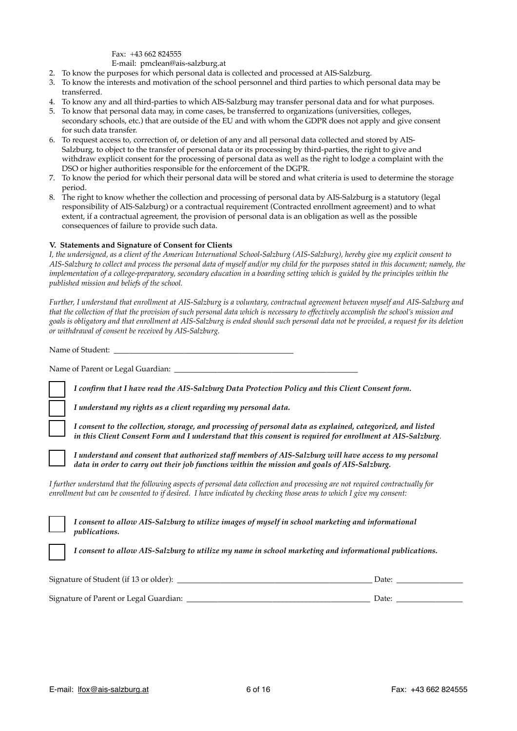Fax: +43 662 824555 E-mail: [pmclean@ais-salzburg.at](mailto:pmclean@ais-salzburg.at)

- 2. To know the purposes for which personal data is collected and processed at AIS-Salzburg.
- 3. To know the interests and motivation of the school personnel and third parties to which personal data may be transferred.
- 4. To know any and all third-parties to which AIS-Salzburg may transfer personal data and for what purposes.
- 5. To know that personal data may, in come cases, be transferred to organizations (universities, colleges, secondary schools, etc.) that are outside of the EU and with whom the GDPR does not apply and give consent for such data transfer.
- 6. To request access to, correction of, or deletion of any and all personal data collected and stored by AIS-Salzburg, to object to the transfer of personal data or its processing by third-parties, the right to give and withdraw explicit consent for the processing of personal data as well as the right to lodge a complaint with the DSO or higher authorities responsible for the enforcement of the DGPR.
- 7. To know the period for which their personal data will be stored and what criteria is used to determine the storage period.
- 8. The right to know whether the collection and processing of personal data by AIS-Salzburg is a statutory (legal responsibility of AIS-Salzburg) or a contractual requirement (Contracted enrollment agreement) and to what extent, if a contractual agreement, the provision of personal data is an obligation as well as the possible consequences of failure to provide such data.

#### **V. Statements and Signature of Consent for Clients**

*I, the undersigned, as a client of the American International School-Salzburg (AIS-Salzburg), hereby give my explicit consent to AIS-Salzburg to collect and process the personal data of myself and/or my child for the purposes stated in this document; namely, the implementation of a college-preparatory, secondary education in a boarding setting which is guided by the principles within the published mission and beliefs of the school.*

*Further, I understand that enrollment at AIS-Salzburg is a voluntary, contractual agreement between myself and AIS-Salzburg and that the collection of that the provision of such personal data which is necessary to effectively accomplish the school's mission and goals is obligatory and that enrollment at AIS-Salzburg is ended should such personal data not be provided, a request for its deletion or withdrawal of consent be received by AIS-Salzburg.*

Name of Student:

Name of Parent or Legal Guardian: \_\_\_\_\_\_\_\_\_\_\_\_\_\_\_\_\_\_\_\_\_\_\_\_\_\_\_\_\_\_\_\_\_\_\_\_\_\_\_\_\_\_\_\_\_\_\_

*I confirm that I have read the AIS-Salzburg Data Protection Policy and this Client Consent form.*

*I understand my rights as a client regarding my personal data.*

*I consent to the collection, storage, and processing of personal data as explained, categorized, and listed in this Client Consent Form and I understand that this consent is required for enrollment at AIS-Salzburg*.

*I understand and consent that authorized staff members of AIS-Salzburg will have access to my personal data in order to carry out their job functions within the mission and goals of AIS-Salzburg.*

*I further understand that the following aspects of personal data collection and processing are not required contractually for enrollment but can be consented to if desired. I have indicated by checking those areas to which I give my consent:*

*I consent to allow AIS-Salzburg to utilize images of myself in school marketing and informational publications.*

*I consent to allow AIS-Salzburg to utilize my name in school marketing and informational publications.*

| Signature of Student (if 13 or older): | Date: |  |
|----------------------------------------|-------|--|
|                                        |       |  |
| Signature of Parent or Legal Guardian: | Date: |  |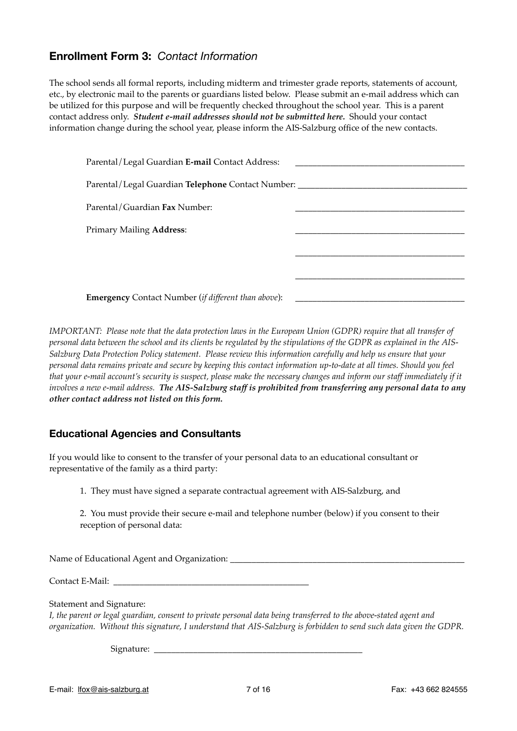## **Enrollment Form 3:** *Contact Information*

The school sends all formal reports, including midterm and trimester grade reports, statements of account, etc., by electronic mail to the parents or guardians listed below. Please submit an e-mail address which can be utilized for this purpose and will be frequently checked throughout the school year. This is a parent contact address only. *Student e-mail addresses should not be submitted here.* Should your contact information change during the school year, please inform the AIS-Salzburg office of the new contacts.

| Parental/Legal Guardian E-mail Contact Address:                                  |  |
|----------------------------------------------------------------------------------|--|
| Parental/Legal Guardian Telephone Contact Number: ______________________________ |  |
| Parental/Guardian Fax Number:                                                    |  |
| <b>Primary Mailing Address:</b>                                                  |  |
|                                                                                  |  |
|                                                                                  |  |
| <b>Emergency</b> Contact Number (if different than above):                       |  |

*IMPORTANT: Please note that the data protection laws in the European Union (GDPR) require that all transfer of personal data between the school and its clients be regulated by the stipulations of the GDPR as explained in the AIS-Salzburg Data Protection Policy statement. Please review this information carefully and help us ensure that your personal data remains private and secure by keeping this contact information up-to-date at all times. Should you feel that your e-mail account's security is suspect, please make the necessary changes and inform our staff immediately if it involves a new e-mail address. The AIS-Salzburg staff is prohibited from transferring any personal data to any other contact address not listed on this form.*

## **Educational Agencies and Consultants**

If you would like to consent to the transfer of your personal data to an educational consultant or representative of the family as a third party:

- 1. They must have signed a separate contractual agreement with AIS-Salzburg, and
- 2. You must provide their secure e-mail and telephone number (below) if you consent to their reception of personal data:

Name of Educational Agent and Organization: \_\_\_\_\_\_\_\_\_\_\_\_\_\_\_\_\_\_\_\_\_\_\_\_\_\_\_\_\_\_\_\_\_\_\_\_\_\_\_\_\_\_\_\_\_\_\_\_\_\_\_\_\_\_

Contact E-Mail: \_\_\_\_\_\_\_\_\_\_\_\_\_\_\_\_\_\_\_\_\_\_\_\_\_\_\_\_\_\_\_\_\_\_\_\_\_\_\_\_\_\_\_\_\_

Statement and Signature:

*I, the parent or legal guardian, consent to private personal data being transferred to the above-stated agent and organization. Without this signature, I understand that AIS-Salzburg is forbidden to send such data given the GDPR.*

Signature: \_\_\_\_\_\_\_\_\_\_\_\_\_\_\_\_\_\_\_\_\_\_\_\_\_\_\_\_\_\_\_\_\_\_\_\_\_\_\_\_\_\_\_\_\_\_\_\_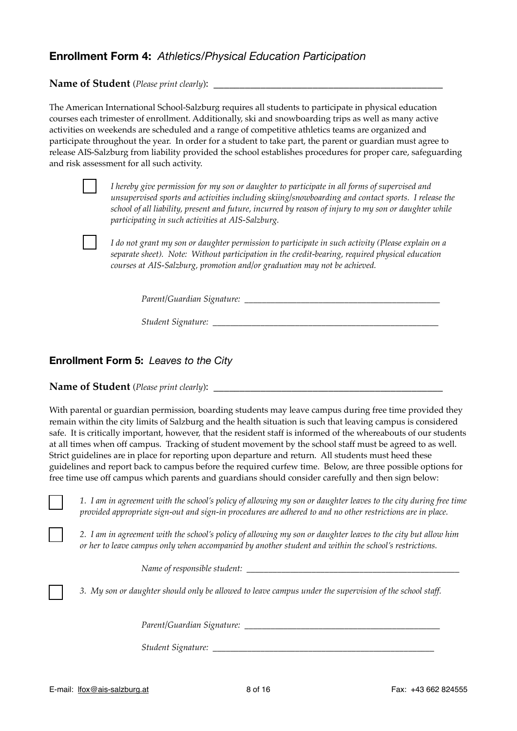## **Enrollment Form 4:** *Athletics/Physical Education Participation*

Name of Student (*Please print clearly*):

The American International School-Salzburg requires all students to participate in physical education courses each trimester of enrollment. Additionally, ski and snowboarding trips as well as many active activities on weekends are scheduled and a range of competitive athletics teams are organized and participate throughout the year. In order for a student to take part, the parent or guardian must agree to release AIS-Salzburg from liability provided the school establishes procedures for proper care, safeguarding and risk assessment for all such activity.

*I hereby give permission for my son or daughter to participate in all forms of supervised and unsupervised sports and activities including skiing/snowboarding and contact sports. I release the school of all liability, present and future, incurred by reason of injury to my son or daughter while participating in such activities at AIS-Salzburg.*

*I do not grant my son or daughter permission to participate in such activity (Please explain on a separate sheet). Note: Without participation in the credit-bearing, required physical education courses at AIS-Salzburg, promotion and/or graduation may not be achieved.*

*Parent/Guardian Signature:*  $\blacksquare$ 

*Student Signature: \_\_\_\_\_\_\_\_\_\_\_\_\_\_\_\_\_\_\_\_\_\_\_\_\_\_\_\_\_\_\_\_\_\_\_\_\_\_\_\_\_\_\_\_\_\_\_\_\_\_\_\_*

### **Enrollment Form 5:** *Leaves to the City*

**Name of Student** (*Please print clearly*):

With parental or guardian permission, boarding students may leave campus during free time provided they remain within the city limits of Salzburg and the health situation is such that leaving campus is considered safe. It is critically important, however, that the resident staff is informed of the whereabouts of our students at all times when off campus. Tracking of student movement by the school staff must be agreed to as well. Strict guidelines are in place for reporting upon departure and return. All students must heed these guidelines and report back to campus before the required curfew time. Below, are three possible options for free time use off campus which parents and guardians should consider carefully and then sign below:

*1. I am in agreement with the school's policy of allowing my son or daughter leaves to the city during free time provided appropriate sign-out and sign-in procedures are adhered to and no other restrictions are in place.*

*2. I am in agreement with the school's policy of allowing my son or daughter leaves to the city but allow him or her to leave campus only when accompanied by another student and within the school's restrictions.* 

*Name of responsible student: \_\_\_\_\_\_\_\_\_\_\_\_\_\_\_\_\_\_\_\_\_\_\_\_\_\_\_\_\_\_\_\_\_\_\_\_\_\_\_\_\_\_\_\_\_\_\_\_\_*

*3. My son or daughter should only be allowed to leave campus under the supervision of the school staff.*

*Parent/Guardian Signature:*  $\blacksquare$ 

*Student Signature:* \_\_\_\_\_\_\_\_\_\_\_\_\_\_\_\_\_\_\_\_\_\_\_\_\_\_\_\_\_\_\_\_\_\_\_\_\_\_\_\_\_\_\_\_\_\_\_\_\_\_\_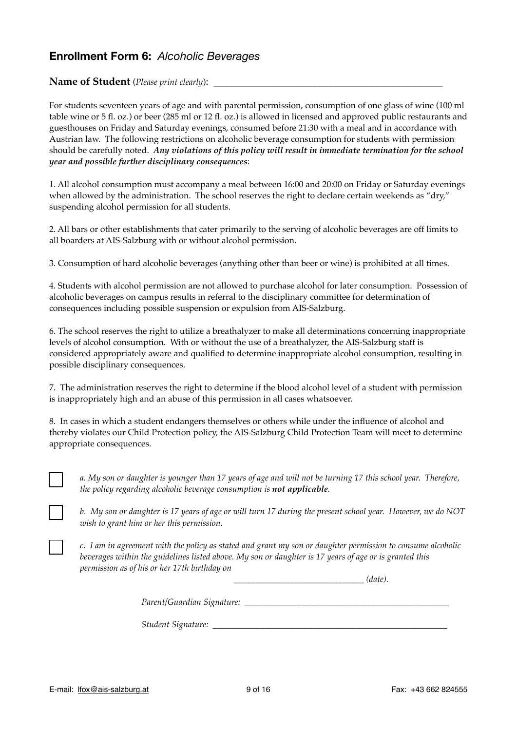## **Enrollment Form 6:** *Alcoholic Beverages*

**Name of Student** (*Please print clearly*):

For students seventeen years of age and with parental permission, consumption of one glass of wine (100 ml table wine or 5 fl. oz.) or beer (285 ml or 12 fl. oz.) is allowed in licensed and approved public restaurants and guesthouses on Friday and Saturday evenings, consumed before 21:30 with a meal and in accordance with Austrian law. The following restrictions on alcoholic beverage consumption for students with permission should be carefully noted. *Any violations of this policy will result in immediate termination for the school year and possible further disciplinary consequences*:

1. All alcohol consumption must accompany a meal between 16:00 and 20:00 on Friday or Saturday evenings when allowed by the administration. The school reserves the right to declare certain weekends as "dry," suspending alcohol permission for all students.

2. All bars or other establishments that cater primarily to the serving of alcoholic beverages are off limits to all boarders at AIS-Salzburg with or without alcohol permission.

3. Consumption of hard alcoholic beverages (anything other than beer or wine) is prohibited at all times.

4. Students with alcohol permission are not allowed to purchase alcohol for later consumption. Possession of alcoholic beverages on campus results in referral to the disciplinary committee for determination of consequences including possible suspension or expulsion from AIS-Salzburg.

6. The school reserves the right to utilize a breathalyzer to make all determinations concerning inappropriate levels of alcohol consumption. With or without the use of a breathalyzer, the AIS-Salzburg staff is considered appropriately aware and qualified to determine inappropriate alcohol consumption, resulting in possible disciplinary consequences.

7. The administration reserves the right to determine if the blood alcohol level of a student with permission is inappropriately high and an abuse of this permission in all cases whatsoever.

8. In cases in which a student endangers themselves or others while under the influence of alcohol and thereby violates our Child Protection policy, the AIS-Salzburg Child Protection Team will meet to determine appropriate consequences.



*a. My son or daughter is younger than 17 years of age and will not be turning 17 this school year. Therefore, the policy regarding alcoholic beverage consumption is not applicable.*



*b. My son or daughter is 17 years of age or will turn 17 during the present school year. However, we do NOT wish to grant him or her this permission.*

*c. I am in agreement with the policy as stated and grant my son or daughter permission to consume alcoholic beverages within the guidelines listed above. My son or daughter is 17 years of age or is granted this permission as of his or her 17th birthday on* 

 $(date)$ .

*Parent/Guardian Signature: \_\_\_\_\_\_\_\_\_\_\_\_\_\_\_\_\_\_\_\_\_\_\_\_\_\_\_\_\_\_\_\_\_\_\_\_\_\_\_\_\_\_\_\_\_\_\_*

*Student Signature:*  $\blacksquare$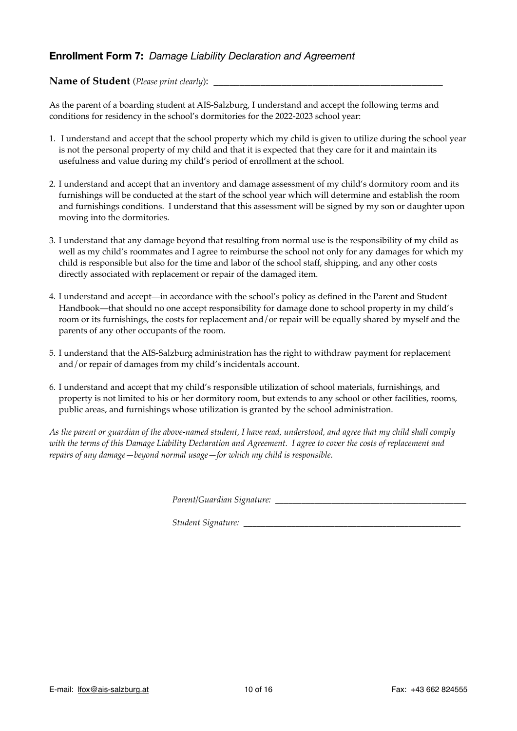## **Enrollment Form 7:** *Damage Liability Declaration and Agreement*

### **Name of Student** (*Please print clearly*): \_\_\_\_\_\_\_\_\_\_\_\_\_\_\_\_\_\_\_\_\_\_\_\_\_\_\_\_\_\_\_\_\_\_\_\_\_\_\_\_\_\_\_\_

As the parent of a boarding student at AIS-Salzburg, I understand and accept the following terms and conditions for residency in the school's dormitories for the 2022-2023 school year:

- 1. I understand and accept that the school property which my child is given to utilize during the school year is not the personal property of my child and that it is expected that they care for it and maintain its usefulness and value during my child's period of enrollment at the school.
- 2. I understand and accept that an inventory and damage assessment of my child's dormitory room and its furnishings will be conducted at the start of the school year which will determine and establish the room and furnishings conditions. I understand that this assessment will be signed by my son or daughter upon moving into the dormitories.
- 3. I understand that any damage beyond that resulting from normal use is the responsibility of my child as well as my child's roommates and I agree to reimburse the school not only for any damages for which my child is responsible but also for the time and labor of the school staff, shipping, and any other costs directly associated with replacement or repair of the damaged item.
- 4. I understand and accept—in accordance with the school's policy as defined in the Parent and Student Handbook—that should no one accept responsibility for damage done to school property in my child's room or its furnishings, the costs for replacement and/or repair will be equally shared by myself and the parents of any other occupants of the room.
- 5. I understand that the AIS-Salzburg administration has the right to withdraw payment for replacement and/or repair of damages from my child's incidentals account.
- 6. I understand and accept that my child's responsible utilization of school materials, furnishings, and property is not limited to his or her dormitory room, but extends to any school or other facilities, rooms, public areas, and furnishings whose utilization is granted by the school administration.

*As the parent or guardian of the above-named student, I have read, understood, and agree that my child shall comply with the terms of this Damage Liability Declaration and Agreement. I agree to cover the costs of replacement and repairs of any damage—beyond normal usage—for which my child is responsible.* 

*Parent/Guardian Signature:* 

*Student Signature:* \_\_\_\_\_\_\_\_\_\_\_\_\_\_\_\_\_\_\_\_\_\_\_\_\_\_\_\_\_\_\_\_\_\_\_\_\_\_\_\_\_\_\_\_\_\_\_\_\_\_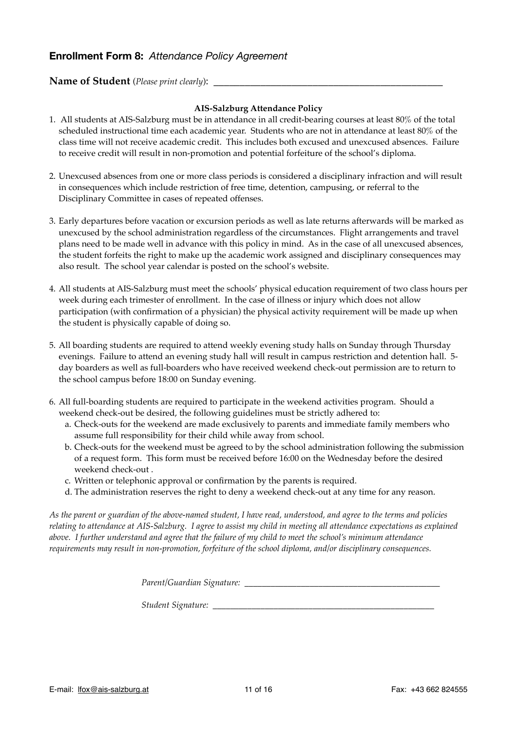### **Enrollment Form 8:** *Attendance Policy Agreement*

### **Name of Student** (*Please print clearly*): \_\_\_\_\_\_\_\_\_\_\_\_\_\_\_\_\_\_\_\_\_\_\_\_\_\_\_\_\_\_\_\_\_\_\_\_\_\_\_\_\_\_\_\_

### **AIS-Salzburg Attendance Policy**

- 1. All students at AIS-Salzburg must be in attendance in all credit-bearing courses at least 80% of the total scheduled instructional time each academic year. Students who are not in attendance at least 80% of the class time will not receive academic credit. This includes both excused and unexcused absences. Failure to receive credit will result in non-promotion and potential forfeiture of the school's diploma.
- 2. Unexcused absences from one or more class periods is considered a disciplinary infraction and will result in consequences which include restriction of free time, detention, campusing, or referral to the Disciplinary Committee in cases of repeated offenses.
- 3. Early departures before vacation or excursion periods as well as late returns afterwards will be marked as unexcused by the school administration regardless of the circumstances. Flight arrangements and travel plans need to be made well in advance with this policy in mind. As in the case of all unexcused absences, the student forfeits the right to make up the academic work assigned and disciplinary consequences may also result. The school year calendar is posted on the school's website.
- 4. All students at AIS-Salzburg must meet the schools' physical education requirement of two class hours per week during each trimester of enrollment. In the case of illness or injury which does not allow participation (with confirmation of a physician) the physical activity requirement will be made up when the student is physically capable of doing so.
- 5. All boarding students are required to attend weekly evening study halls on Sunday through Thursday evenings. Failure to attend an evening study hall will result in campus restriction and detention hall. 5 day boarders as well as full-boarders who have received weekend check-out permission are to return to the school campus before 18:00 on Sunday evening.
- 6. All full-boarding students are required to participate in the weekend activities program. Should a weekend check-out be desired, the following guidelines must be strictly adhered to:
	- a. Check-outs for the weekend are made exclusively to parents and immediate family members who assume full responsibility for their child while away from school.
	- b. Check-outs for the weekend must be agreed to by the school administration following the submission of a request form. This form must be received before 16:00 on the Wednesday before the desired weekend check-out .
	- c. Written or telephonic approval or confirmation by the parents is required.
	- d. The administration reserves the right to deny a weekend check-out at any time for any reason.

*As the parent or guardian of the above-named student, I have read, understood, and agree to the terms and policies relating to attendance at AIS-Salzburg. I agree to assist my child in meeting all attendance expectations as explained above. I further understand and agree that the failure of my child to meet the school's minimum attendance requirements may result in non-promotion, forfeiture of the school diploma, and/or disciplinary consequences.*

*Parent/Guardian Signature:* \_\_\_\_\_\_\_\_\_\_\_\_\_\_\_\_\_\_\_\_\_\_\_\_\_\_\_\_\_\_\_\_\_\_\_\_\_\_\_\_\_\_\_\_\_

*Student Signature:* \_\_\_\_\_\_\_\_\_\_\_\_\_\_\_\_\_\_\_\_\_\_\_\_\_\_\_\_\_\_\_\_\_\_\_\_\_\_\_\_\_\_\_\_\_\_\_\_\_\_\_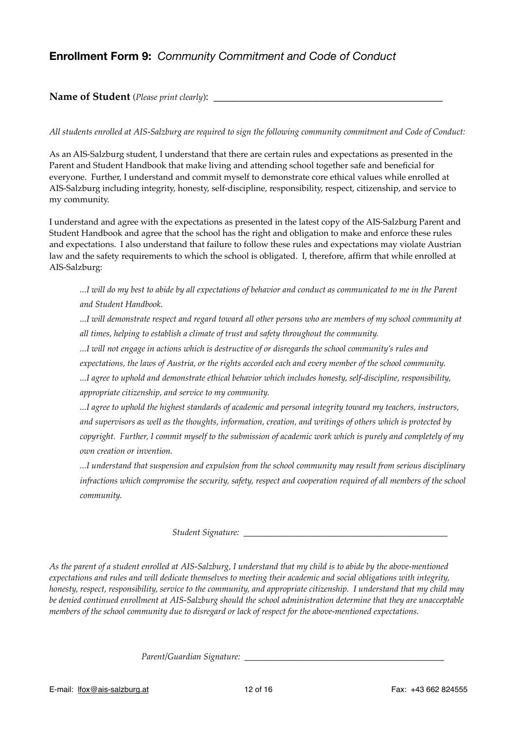# **Enrollment Form 9:** *Community Commitment and Code of Conduct*

### Name of Student (*Please print clearly*):

### *All students enrolled at AIS-Salzburg are required to sign the following community commitment and Code of Conduct:*

As an AIS-Salzburg student, I understand that there are certain rules and expectations as presented in the Parent and Student Handbook that make living and attending school together safe and beneficial for everyone. Further, I understand and commit myself to demonstrate core ethical values while enrolled at AIS-Salzburg including integrity, honesty, self-discipline, responsibility, respect, citizenship, and service to my community.

I understand and agree with the expectations as presented in the latest copy of the AIS-Salzburg Parent and Student Handbook and agree that the school has the right and obligation to make and enforce these rules and expectations. I also understand that failure to follow these rules and expectations may violate Austrian law and the safety requirements to which the school is obligated. I, therefore, affirm that while enrolled at AIS-Salzburg:

*...I will do my best to abide by all expectations of behavior and conduct as communicated to me in the Parent and Student Handbook.*

*...I will demonstrate respect and regard toward all other persons who are members of my school community at all times, helping to establish a climate of trust and safety throughout the community.*

*...I will not engage in actions which is destructive of or disregards the school community's rules and* 

*expectations, the laws of Austria, or the rights accorded each and every member of the school community.*

*...I agree to uphold and demonstrate ethical behavior which includes honesty, self-discipline, responsibility, appropriate citizenship, and service to my community.*

*...I agree to uphold the highest standards of academic and personal integrity toward my teachers, instructors, and supervisors as well as the thoughts, information, creation, and writings of others which is protected by copyright. Further, I commit myself to the submission of academic work which is purely and completely of my own creation or invention.*

*...I understand that suspension and expulsion from the school community may result from serious disciplinary infractions which compromise the security, safety, respect and cooperation required of all members of the school community.*

*Student Signature: \_\_\_\_\_\_\_\_\_\_\_\_\_\_\_\_\_\_\_\_\_\_\_\_\_\_\_\_\_\_\_\_\_\_\_\_\_\_\_\_\_\_\_\_\_\_\_*

*As the parent of a student enrolled at AIS-Salzburg, I understand that my child is to abide by the above-mentioned expectations and rules and will dedicate themselves to meeting their academic and social obligations with integrity, honesty, respect, responsibility, service to the community, and appropriate citizenship. I understand that my child may be denied continued enrollment at AIS-Salzburg should the school administration determine that they are unacceptable members of the school community due to disregard or lack of respect for the above-mentioned expectations.*

*Parent/Guardian Signature: \_\_\_\_\_\_\_\_\_\_\_\_\_\_\_\_\_\_\_\_\_\_\_\_\_\_\_\_\_\_\_\_\_\_\_\_\_\_\_\_\_\_\_\_\_\_*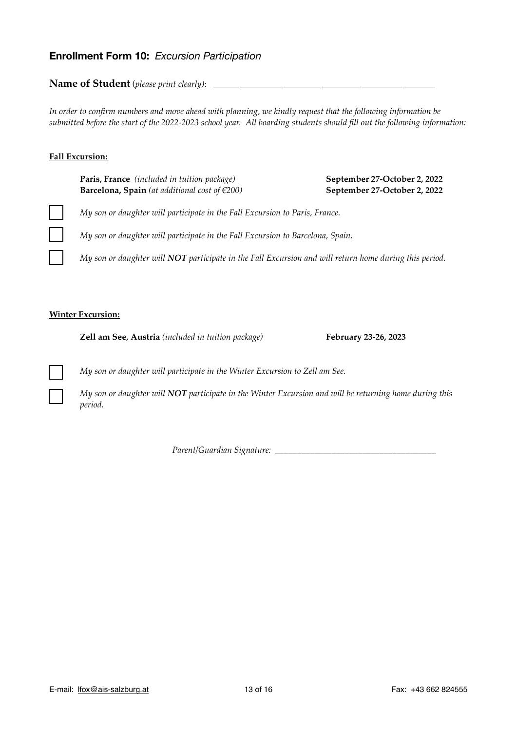## **Enrollment Form 10:** *Excursion Participation*

**Name of Student** (*please print clearly)*: *\_\_\_\_\_\_\_\_\_\_\_\_\_\_\_\_\_\_\_\_\_\_\_\_\_\_\_\_\_\_\_\_\_\_\_\_\_\_\_\_\_*

*In order to confirm numbers and move ahead with planning, we kindly request that the following information be submitted before the start of the 2022-2023 school year. All boarding students should fill out the following information:*

### **Fall Excursion:**

| Paris, France (included in tuition package)               |  |
|-----------------------------------------------------------|--|
| <b>Barcelona, Spain</b> (at additional cost of $\in$ 200) |  |

**Paris, France** *(included in tuition package)* **September 27-October 2, 2022 Barcelona, Spain** *(at additional cost of €200)* **September 27-October 2, 2022**

*My son or daughter will participate in the Fall Excursion to Paris, France.*

*My son or daughter will participate in the Fall Excursion to Barcelona, Spain.*

*My son or daughter will NOT participate in the Fall Excursion and will return home during this period.*

### **Winter Excursion:**

**Zell am See, Austria** *(included in tuition package)* **February 23-26, 2023**

*My son or daughter will participate in the Winter Excursion to Zell am See.*

*My son or daughter will NOT participate in the Winter Excursion and will be returning home during this period.*

*Parent/Guardian Signature:* \_\_\_\_\_\_\_\_\_\_\_\_\_\_\_\_\_\_\_\_\_\_\_\_\_\_\_\_\_\_\_\_\_\_\_\_\_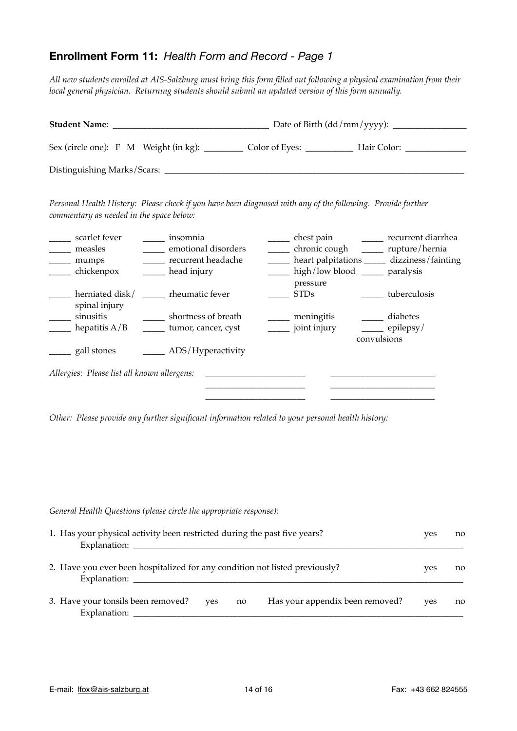# **Enrollment Form 11:** *Health Form and Record - Page 1*

*All new students enrolled at AIS-Salzburg must bring this form filled out following a physical examination from their local general physician. Returning students should submit an updated version of this form annually.*

| <b>Student Name:</b>        |                                       |                |             |  |  |
|-----------------------------|---------------------------------------|----------------|-------------|--|--|
|                             | Sex (circle one): F M Weight (in kg): | Color of Eyes: | Hair Color: |  |  |
| Distinguishing Marks/Scars: |                                       |                |             |  |  |

*Personal Health History: Please check if you have been diagnosed with any of the following. Provide further commentary as needed in the space below:*

| scarlet fever<br>measles<br>mumps<br>chickenpox | insomnia<br>emotional disorders<br>recurrent headache<br>head injury | chest pain<br>chronic cough<br>heart palpitations<br>high/low blood |             | recurrent diarrhea<br>rupture/hernia<br>dizziness/fainting<br>paralysis |
|-------------------------------------------------|----------------------------------------------------------------------|---------------------------------------------------------------------|-------------|-------------------------------------------------------------------------|
| herniated disk/<br>spinal injury                | rheumatic fever                                                      | pressure<br><b>STDs</b>                                             |             | tuberculosis                                                            |
| sinusitis                                       | shortness of breath                                                  | meningitis                                                          |             | diabetes                                                                |
| hepatitis $A/B$                                 | tumor, cancer, cyst                                                  | joint injury                                                        |             | epilepsy/                                                               |
| gall stones                                     | ADS/Hyperactivity                                                    |                                                                     | convulsions |                                                                         |
| Allergies: Please list all known allergens:     |                                                                      |                                                                     |             |                                                                         |
|                                                 |                                                                      |                                                                     |             |                                                                         |

*Other: Please provide any further significant information related to your personal health history:*

| General Health Questions (please circle the appropriate response):                          |     |    |                                 |     |    |
|---------------------------------------------------------------------------------------------|-----|----|---------------------------------|-----|----|
| 1. Has your physical activity been restricted during the past five years?<br>Explanation:   |     |    |                                 | yes | no |
| 2. Have you ever been hospitalized for any condition not listed previously?<br>Explanation: |     |    |                                 | yes | no |
| 3. Have your tonsils been removed?<br>Explanation:                                          | yes | no | Has your appendix been removed? | yes | no |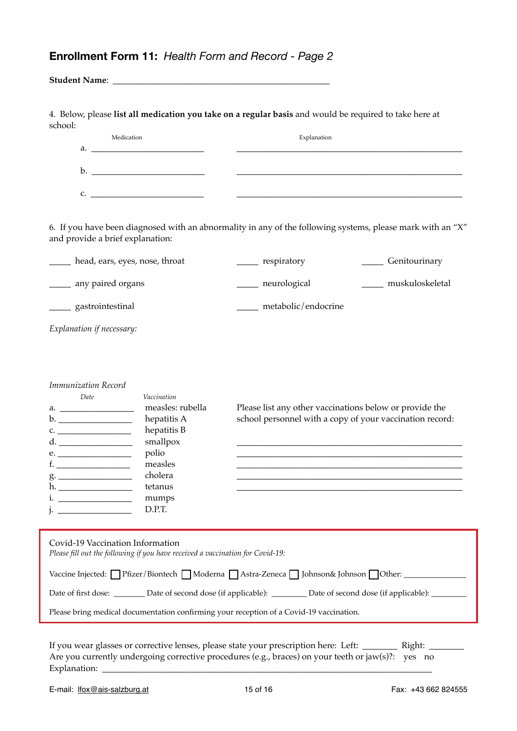# **Enrollment Form 11:** *Health Form and Record - Page 2*

| school:                                                                                                                                          |                                                                                | 4. Below, please list all medication you take on a regular basis and would be required to take here at                    |                       |  |
|--------------------------------------------------------------------------------------------------------------------------------------------------|--------------------------------------------------------------------------------|---------------------------------------------------------------------------------------------------------------------------|-----------------------|--|
| Medication                                                                                                                                       |                                                                                | Explanation                                                                                                               |                       |  |
|                                                                                                                                                  |                                                                                |                                                                                                                           |                       |  |
|                                                                                                                                                  |                                                                                |                                                                                                                           |                       |  |
|                                                                                                                                                  |                                                                                |                                                                                                                           |                       |  |
| and provide a brief explanation:                                                                                                                 |                                                                                | 6. If you have been diagnosed with an abnormality in any of the following systems, please mark with an "X"                |                       |  |
| ______ head, ears, eyes, nose, throat                                                                                                            |                                                                                | ______ respiratory                                                                                                        | _____ Genitourinary   |  |
| _____ any paired organs                                                                                                                          |                                                                                | ______ neurological                                                                                                       | _____ muskuloskeletal |  |
| ______ gastrointestinal                                                                                                                          |                                                                                | _____ metabolic/endocrine                                                                                                 |                       |  |
| Explanation if necessary:                                                                                                                        |                                                                                |                                                                                                                           |                       |  |
| Immunization Record<br>Date                                                                                                                      | Vaccination<br>measles: rubella<br>hepatitis A                                 | Please list any other vaccinations below or provide the<br>school personnel with a copy of your vaccination record:       |                       |  |
|                                                                                                                                                  | hepatitis B<br>smallpox<br>polio                                               |                                                                                                                           |                       |  |
|                                                                                                                                                  | measles                                                                        |                                                                                                                           |                       |  |
|                                                                                                                                                  | cholera<br>tetanus                                                             |                                                                                                                           |                       |  |
|                                                                                                                                                  | mumps<br>D.P.T.                                                                |                                                                                                                           |                       |  |
| e.<br>h. ____________________<br>$\mathbf{i}$ . The contract of $\mathbf{j}$ is the contract of $\mathbf{j}$<br>Covid-19 Vaccination Information | Please fill out the following if you have received a vaccination for Covid-19: |                                                                                                                           |                       |  |
|                                                                                                                                                  |                                                                                | Vaccine Injected: Pfizer/Biontech   Moderna   Astra-Zeneca   Johnson& Johnson   Other: ____________                       |                       |  |
|                                                                                                                                                  |                                                                                | Date of first dose: _________ Date of second dose (if applicable): _________ Date of second dose (if applicable): _______ |                       |  |

If you wear glasses or corrective lenses, please state your prescription here: Left: \_\_\_\_\_\_\_\_ Right: \_\_\_\_\_\_\_\_ Are you currently undergoing corrective procedures (e.g., braces) on your teeth or jaw(s)?: yes no Explanation: \_\_\_\_\_\_\_\_\_\_\_\_\_\_\_\_\_\_\_\_\_\_\_\_\_\_\_\_\_\_\_\_\_\_\_\_\_\_\_\_\_\_\_\_\_\_\_\_\_\_\_\_\_\_\_\_\_\_\_\_\_\_\_\_\_\_\_\_\_\_\_\_\_\_\_\_